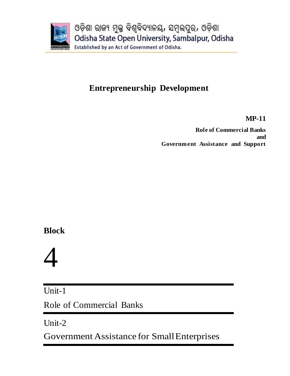

# **Entrepreneurship Development**

**MP-11**

**Role of Commercial Banks and Government Assistance and Support**

# **Block**

# 4

Unit-1

Role of Commercial Banks

Unit-2

Government Assistance for SmallEnterprises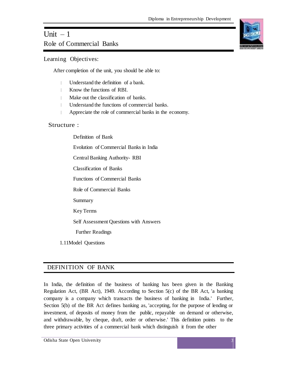# Unit  $-1$ Role of Commercial Banks

Learning Objectives:

After completion of the unit, you should be able to:

- Understand the definition of a bank.
- Know the functions of RBI.  $\mathbb{R}$
- Make out the classification of banks.
- $\mathbb{L}$ Understand the functions of commercial banks.
- Appreciate the role of commercial banks in the economy.

# Structure :

Definition of Bank Evolution of Commercial Banks in India Central Banking Authority- RBI Classification of Banks Functions of Commercial Banks Role of Commercial Banks Summary Key Terms Self Assessment Questions with Answers Further Readings

1.11Model Questions

# DEFINITION OF BANK

In India, the definition of the business of banking has been given in the Banking Regulation Act, (BR Act), 1949. According to Section 5(c) of the BR Act, 'a banking company is a company which transacts the business of banking in India.' Further, Section 5(b) of the BR Act defines banking as, 'accepting, for the purpose of lending or investment, of deposits of money from the public, repayable on demand or otherwise, and withdrawable, by cheque, draft, order or otherwise.' This definition points to the three primary activities of a commercial bank which distinguish it from the other

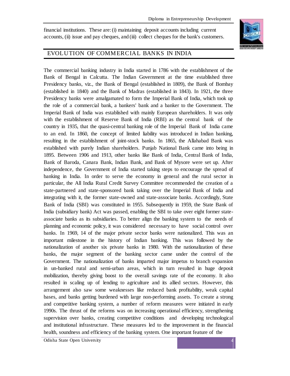financial institutions. These are: (i) maintaining deposit accounts including current accounts, (ii) issue and pay cheques, and (iii) collect cheques for the bank's customers.



# EVOLUTION OF COMMERCIAL BANKS IN INDIA

The commercial banking industry in India started in 1786 with the establishment of the Bank of Bengal in Calcutta. The Indian Government at the time established three Presidency banks, viz., the Bank of Bengal (established in 1809), the Bank of Bombay (established in 1840) and the Bank of Madras (established in 1843). In 1921, the three Presidency banks were amalgamated to form the Imperial Bank of India, which took up the role of a commercial bank, a bankers' bank and a banker to the Government. The Imperial Bank of India was established with mainly European shareholders. It was only with the establishment of Reserve Bank of India (RBI) as the central bank of the country in 1935, that the quasi-central banking role of the Imperial Bank of India came to an end. In 1860, the concept of limited liability was introduced in Indian banking, resulting in the establishment of joint-stock banks. In 1865, the Allahabad Bank was established with purely Indian shareholders. Punjab National Bank came into being in 1895. Between 1906 and 1913, other banks like Bank of India, Central Bank of India, Bank of Baroda, Canara Bank, Indian Bank, and Bank of Mysore were set up. After independence, the Government of India started taking steps to encourage the spread of banking in India. In order to serve the economy in general and the rural sector in particular, the All India Rural Credit Survey Committee recommended the creation of a state-partnered and state-sponsored bank taking over the Imperial Bank of India and integrating with it, the former state-owned and state-associate banks. Accordingly, State Bank of India (SBI) was constituted in 1955. Subsequently in 1959, the State Bank of India (subsidiary bank) Act was passed, enabling the SBI to take over eight former stateassociate banks as its subsidiaries. To better align the banking system to the needs of planning and economic policy, it was considered necessary to have social control over banks. In 1969, 14 of the major private sector banks were nationalized. This was an important milestone in the history of Indian banking. This was followed by the nationalization of another six private banks in 1980. With the nationalization of these banks, the major segment of the banking sector came under the control of the Government. The nationalization of banks imparted major impetus to branch expansion in un-banked rural and semi-urban areas, which in turn resulted in huge deposit mobilization, thereby giving boost to the overall savings rate of the economy. It also resulted in scaling up of lending to agriculture and its allied sectors. However, this arrangement also saw some weaknesses like reduced bank profitability, weak capital bases, and banks getting burdened with large non-performing assets. To create a strong and competitive banking system, a number of reform measures were initiated in early 1990s. The thrust of the reforms was on increasing operational efficiency, strengthening supervision over banks, creating competitive conditions and developing technological and institutional infrastructure. These measures led to the improvement in the financial health, soundness and efficiency of the banking system. One important feature of the

Odisha State Open University 4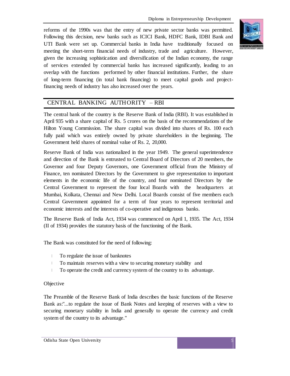reforms of the 1990s was that the entry of new private sector banks was permitted. Following this decision, new banks such as ICICI Bank, HDFC Bank, IDBI Bank and UTI Bank were set up. Commercial banks in India have traditionally focused on meeting the short-term financial needs of industry, trade and agriculture. However, given the increasing sophistication and diversification of the Indian economy, the range of services extended by commercial banks has increased significantly, leading to an overlap with the functions performed by other financial institutions. Further, the share of long-term financing (in total bank financing) to meet capital goods and projectfinancing needs of industry has also increased over the years.



# CENTRAL BANKING AUTHORITY – RBI

The central bank of the country is the Reserve Bank of India (RBI). It was established in April 935 with a share capital of Rs. 5 crores on the basis of the recommendations of the Hilton Young Commission. The share capital was divided into shares of Rs. 100 each fully paid which was entirely owned by private shareholders in the beginning. The Government held shares of nominal value of Rs. 2, 20,000.

Reserve Bank of India was nationalized in the year 1949. The general superintendence and direction of the Bank is entrusted to Central Board of Directors of 20 members, the Governor and four Deputy Governors, one Government official from the Ministry of Finance, ten nominated Directors by the Government to give representation to important elements in the economic life of the country, and four nominated Directors by the Central Government to represent the four local Boards with the headquarters at Mumbai, Kolkata, Chennai and New Delhi. Local Boards consist of five members each Central Government appointed for a term of four years to represent territorial and economic interests and the interests of co-operative and indigenous banks.

The Reserve Bank of India Act, 1934 was commenced on April 1, 1935. The Act, 1934 (II of 1934) provides the statutory basis of the functioning of the Bank.

The Bank was constituted for the need of following:

- $\|$ To regulate the issue of banknotes
- $\mathbb{L}$ To maintain reserves with a view to securing monetary stability and
- $\mathbb{L}$ To operate the credit and currency system of the country to its advantage.

# **Objective**

The Preamble of the Reserve Bank of India describes the basic functions of the Reserve Bank as:"...to regulate the issue of Bank Notes and keeping of reserves with a view to securing monetary stability in India and generally to operate the currency and credit system of the country to its advantage."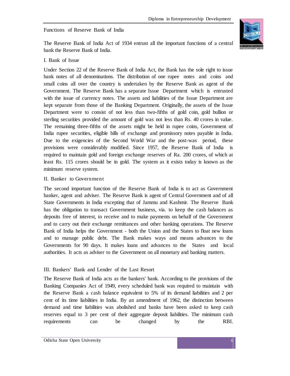# Functions of Reserve Bank of India



The Reserve Bank of India Act of 1934 entrust all the important functions of a central bank the Reserve Bank of India.

## I. Bank of Issue

Under Section 22 of the Reserve Bank of India Act, the Bank has the sole right to issue bank notes of all denominations. The distribution of one rupee notes and coins and small coins all over the country is undertaken by the Reserve Bank as agent of the Government. The Reserve Bank has a separate Issue Department which is entrusted with the issue of currency notes. The assets and liabilities of the Issue Department are kept separate from those of the Banking Department. Originally, the assets of the Issue Department were to consist of not less than two-fifths of gold coin, gold bullion or sterling securities provided the amount of gold was not less than Rs. 40 crores in value. The remaining three-fifths of the assets might be held in rupee coins, Government of India rupee securities, eligible bills of exchange and promissory notes payable in India. Due to the exigencies of the Second World War and the post-was period, these provisions were considerably modified. Since 1957, the Reserve Bank of India is required to maintain gold and foreign exchange reserves of Ra. 200 crores, of which at least Rs. 115 crores should be in gold. The system as it exists today is known as the minimum reserve system.

#### II. Banker to Government

The second important function of the Reserve Bank of India is to act as Government banker, agent and adviser. The Reserve Bank is agent of Central Government and of all State Governments in India excepting that of Jammu and Kashmir. The Reserve Bank has the obligation to transact Government business, via. to keep the cash balances as deposits free of interest, to receive and to make payments on behalf of the Government and to carry out their exchange remittances and other banking operations. The Reserve Bank of India helps the Government - both the Union and the States to float new loans and to manage public debt. The Bank makes ways and means advances to the Governments for 90 days. It makes loans and advances to the States and local authorities. It acts as adviser to the Government on all monetary and banking matters.

# III. Bankers' Bank and Lender of the Last Resort

The Reserve Bank of India acts as the bankers' bank. According to the provisions of the Banking Companies Act of 1949, every scheduled bank was required to maintain with the Reserve Bank a cash balance equivalent to 5% of its demand liabilities and 2 per cent of its time liabilities in India. By an amendment of 1962, the distinction between demand and time liabilities was abolished and banks have been asked to keep cash reserves equal to 3 per cent of their aggregate deposit liabilities. The minimum cash requirements can be changed by the RBI.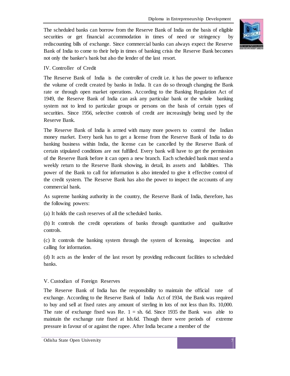The scheduled banks can borrow from the Reserve Bank of India on the basis of eligible securities or get financial accommodation in times of need or stringency by rediscounting bills of exchange. Since commercial banks can always expect the Reserve Bank of India to come to their help in times of banking crisis the Reserve Bank becomes not only the banker's bank but also the lender of the last resort.



#### IV. Controller of Credit

The Reserve Bank of India is the controller of credit i.e. it has the power to influence the volume of credit created by banks in India. It can do so through changing the Bank rate or through open market operations. According to the Banking Regulation Act of 1949, the Reserve Bank of India can ask any particular bank or the whole banking system not to lend to particular groups or persons on the basis of certain types of securities. Since 1956, selective controls of credit are increasingly being used by the Reserve Bank.

The Reserve Bank of India is armed with many more powers to control the Indian money market. Every bank has to get a license from the Reserve Bank of India to do banking business within India, the license can be cancelled by the Reserve Bank of certain stipulated conditions are not fulfilled. Every bank will have to get the permission of the Reserve Bank before it can open a new branch. Each scheduled bank must send a weekly return to the Reserve Bank showing, in detail, its assets and liabilities. This power of the Bank to call for information is also intended to give it effective control of the credit system. The Reserve Bank has also the power to inspect the accounts of any commercial bank.

As supreme banking authority in the country, the Reserve Bank of India, therefore, has the following powers:

(a) It holds the cash reserves of all the scheduled banks.

(b) It controls the credit operations of banks through quantitative and qualitative controls.

(c) It controls the banking system through the system of licensing, inspection and calling for information.

(d) It acts as the lender of the last resort by providing rediscount facilities to scheduled banks.

#### V. Custodian of Foreign Reserves

The Reserve Bank of India has the responsibility to maintain the official rate of exchange. According to the Reserve Bank of India Act of 1934, the Bank was required to buy and sell at fixed rates any amount of sterling in lots of not less than Rs. 10,000. The rate of exchange fixed was Re.  $1 = sh$ . 6d. Since 1935 the Bank was able to maintain the exchange rate fixed at lsh.6d. Though there were periods of extreme pressure in favour of or against the rupee. After India became a member of the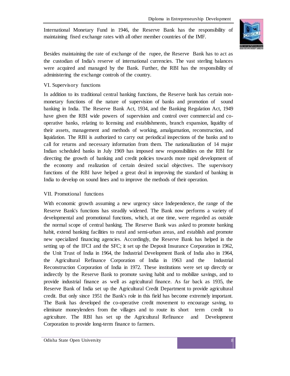International Monetary Fund in 1946, the Reserve Bank has the responsibility of maintaining fixed exchange rates with all other member countries of the IMF.



Besides maintaining the rate of exchange of the rupee, the Reserve Bank has to act as the custodian of India's reserve of international currencies. The vast sterling balances were acquired and managed by the Bank. Further, the RBI has the responsibility of administering the exchange controls of the country.

# VI. Supervisory functions

In addition to its traditional central banking functions, the Reserve bank has certain nonmonetary functions of the nature of supervision of banks and promotion of sound banking in India. The Reserve Bank Act, 1934, and the Banking Regulation Act, 1949 have given the RBI wide powers of supervision and control over commercial and cooperative banks, relating to licensing and establishments, branch expansion, liquidity of their assets, management and methods of working, amalgamation, reconstruction, and liquidation. The RBI is authorized to carry out periodical inspections of the banks and to call for returns and necessary information from them. The nationalization of 14 major Indian scheduled banks in July 1969 has imposed new responsibilities on the RBI for directing the growth of banking and credit policies towards more rapid development of the economy and realization of certain desired social objectives. The supervisory functions of the RBI have helped a great deal in improving the standard of banking in India to develop on sound lines and to improve the methods of their operation.

#### VII. Promotional functions

With economic growth assuming a new urgency since Independence, the range of the Reserve Bank's functions has steadily widened. The Bank now performs a variety of developmental and promotional functions, which, at one time, were regarded as outside the normal scope of central banking. The Reserve Bank was asked to promote banking habit, extend banking facilities to rural and semi-urban areas, and establish and promote new specialized financing agencies. Accordingly, the Reserve Bank has helped in the setting up of the IFCI and the SFC; it set up the Deposit Insurance Corporation in 1962, the Unit Trust of India in 1964, the Industrial Development Bank of India also in 1964, the Agricultural Refinance Corporation of India in 1963 and the Industrial Reconstruction Corporation of India in 1972. These institutions were set up directly or indirectly by the Reserve Bank to promote saving habit and to mobilize savings, and to provide industrial finance as well as agricultural finance. As far back as 1935, the Reserve Bank of India set up the Agricultural Credit Department to provide agricultural credit. But only since 1951 the Bank's role in this field has become extremely important. The Bank has developed the co-operative credit movement to encourage saving, to eliminate moneylenders from the villages and to route its short term credit to agriculture. The RBI has set up the Agricultural Refinance and Development Corporation to provide long-term finance to farmers.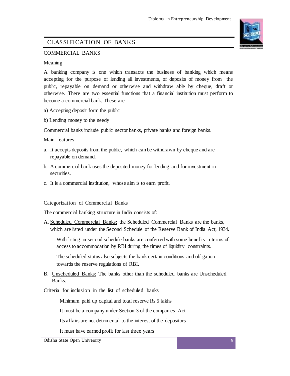# CLASSIFICATION OF BANKS

# COMMERCIAL BANKS

#### Meaning

A banking company is one which transacts the business of banking which means accepting for the purpose of lending all investments, of deposits of money from the public, repayable on demand or otherwise and withdraw able by cheque, draft or otherwise. There are two essential functions that a financial institution must perform to become a commercial bank. These are

- a) Accepting deposit form the public
- b) Lending money to the needy

Commercial banks include public sector banks, private banks and foreign banks.

Main features:

- a. It accepts deposits from the public, which can be withdrawn by cheque and are repayable on demand.
- b. A commercial bank uses the deposited money for lending and for investment in securities.
- c. It is a commercial institution, whose aim is to earn profit.

#### Categorization of Commercial Banks

The commercial banking structure in India consists of:

- A. Scheduled Commercial Banks: the Scheduled Commercial Banks are the banks, which are listed under the Second Schedule of the Reserve Bank of India Act, 1934.
	- With listing in second schedule banks are conferred with some benefits in terms of access to accommodation by RBI during the times of liquidity constraints.
	- The scheduled status also subjects the bank certain conditions and obligation towards the reserve regulations of RBI.
- B. Unscheduled Banks: The banks other than the scheduled banks are Unscheduled Banks.

Criteria for inclusion in the list of scheduled banks

- $\mathbb{L}$ Minimum paid up capital and total reserve Rs 5 lakhs
- $\mathbb{L}$ It must be a company under Section 3 of the companies Act
- $\mathbb{L}$ Its affairs are not detrimental to the interest of the depositors
- It must have earned profit for last three years

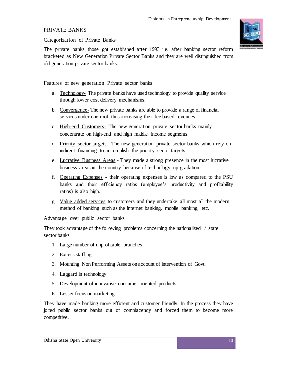# PRIVATE BANKS

Categorization of Private Banks

The private banks those got established after 1993 i.e. after banking sector reform bracketed as New Generation Private Sector Banks and they are well distinguished from old generation private sector banks.

Features of new generation Private sector banks

- a. Technology- The private banks have used technology to provide quality service through lower cost delivery mechanisms.
- b. Convergence- The new private banks are able to provide a range of financial services under one roof, thus increasing their fee based revenues.
- c. High-end Customers- The new generation private sector banks mainly concentrate on high-end and high middle income segments.
- d. Priority sector targets The new generation private sector banks which rely on indirect financing to accomplish the priority sector targets.
- e. Lucrative Business Areas They made a strong presence in the most lucrative business areas in the country because of technology up gradation.
- f. Operating Expenses their operating expenses is low as compared to the PSU banks and their efficiency ratios (employee's productivity and profitability ratios) is also high.
- g. Value added services to customers and they undertake all most all the modern method of banking such as the internet banking, mobile banking, etc.

Advantage over public sector banks

They took advantage of the following problems concerning the nationalized / state sector banks

- 1. Large number of unprofitable branches
- 2. Excess staffing
- 3. Mounting Non Performing Assets on account of intervention of Govt.
- 4. Laggard in technology
- 5. Development of innovative consumer oriented products
- 6. Lesser focus on marketing

They have made banking more efficient and customer friendly. In the process they have jolted public sector banks out of complacency and forced them to become more competitive.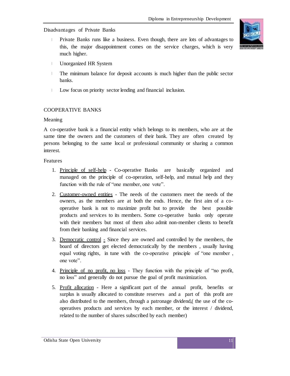Disadvantages of Private Banks

- Private Banks runs like a business. Even though, there are lots of advantages to this, the major disappointment comes on the service charges, which is very much higher.
- Unorganized HR System  $\mathbb{L}$
- The minimum balance for deposit accounts is much higher than the public sector  $\| \cdot \|$ banks.
- Low focus on priority sector lending and financial inclusion.  $\mathbf{L}$

# COOPERATIVE BANKS

#### Meaning

A co-operative bank is a financial entity which belongs to its members, who are at the same time the owners and the customers of their bank. They are often created by persons belonging to the same local or professional community or sharing a common interest.

#### Features

- 1. Principle of self-help Co-operative Banks are basically organized and managed on the principle of co-operation, self-help, and mutual help and they function with the rule of "one member, one vote".
- 2. Customer-owned entities The needs of the customers meet the needs of the owners, as the members are at both the ends. Hence, the first aim of a cooperative bank is not to maximize profit but to provide the best possible products and services to its members. Some co-operative banks only operate with their members but most of them also admit non-member clients to benefit from their banking and financial services.
- 3. Democratic control  $\frac{1}{2}$  Since they are owned and controlled by the members, the board of directors get elected democratically by the members , usually having equal voting rights, in tune with the co-operative principle of "one member, one vote".
- 4. Principle of no profit, no loss They function with the principle of "no profit, no loss" and generally do not pursue the goal of profit maximization.
- 5. Profit allocation Here a significant part of the annual profit, benefits or surplus is usually allocated to constitute reserves and a part of this profit are also distributed to the members, through a patronage dividend,( the use of the cooperatives products and services by each member, or the interest / dividend, related to the number of shares subscribed by each member)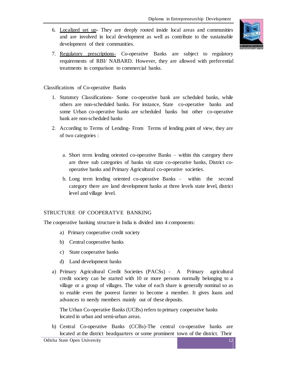6. Localized set up- They are deeply rooted inside local areas and communities and are involved in local development as well as contribute to the sustainable development of their communities.



7. Regulatory prescriptions- Co-operative Banks are subject to regulatory requirements of RBI/ NABARD. However, they are allowed with preferential treatments in comparison to commercial banks.

## Classifications of Co-operative Banks

- 1. Statutory Classifications- Some co-operative bank are scheduled banks, while others are non-scheduled banks. For instance, State co-operative banks and some Urban co-operative banks are scheduled banks but other co-operative bank are non-scheduled banks
- 2. According to Terms of Lending- From Terms of lending point of view, they are of two categories :
	- a. Short term lending oriented co-operative Banks within this category there are three sub categories of banks viz state co-operative banks, District cooperative banks and Primary Agricultural co-operative societies.
	- b. Long term lending oriented co-operative Banks within the second category there are land development banks at three levels state level, district level and village level.

#### STRUCTURE OF COOPERATVE BANKING

The cooperative banking structure in India is divided into 4 components:

- a) Primary cooperative credit society
- b) Central cooperative banks
- c) State cooperative banks
- d) Land development banks
- a) Primary Agricultural Credit Societies (PACSs) A Primary agricultural credit society can be started with 10 or more persons normally belonging to a village or a group of villages. The value of each share is generally nominal so as to enable even the poorest farmer to become a member. It gives loans and advances to needy members mainly out of these deposits.

The Urban Co-operative Banks (UCBs) refers to primary cooperative banks located in urban and semi-urban areas.

b) Central Co-operative Banks (CCBs)-The central co-operative banks are located at the district headquarters or some prominent town of the district. Their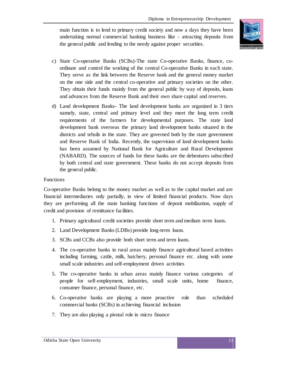main function is to lend to primary credit society and now a days they have been undertaking normal commercial banking business like - attracting deposits from the general public and lending to the needy against proper securities.



- c) State Co-operative Banks (SCBs)-The state Co-operative Banks, finance, coordinate and control the working of the central Co-operative Banks in each state. They serve as the link between the Reserve bank and the general money market on the one side and the central co-operative and primary societies on the other. They obtain their funds mainly from the general public by way of deposits, loans and advances from the Reserve Bank and their own share capital and reserves.
- d) Land development Banks- The land development banks are organized in 3 tiers namely, state, central and primary level and they meet the long term credit requirements of the farmers for developmental purposes. The state land development bank overseas the primary land development banks situated in the districts and tehsils in the state. They are governed both by the state government and Reserve Bank of India. Recently, the supervision of land development banks has been assumed by National Bank for Agriculture and Rural Development (NABARD). The sources of funds for these banks are the debentures subscribed by both central and state government. These banks do not accept deposits from the general public.

#### Functions

Co-operative Banks belong to the money market as well as to the capital market and are financial intermediaries only partially, in view of limited financial products. Now days they are performing all the main banking functions of deposit mobilization, supply of credit and provision of remittance facilities.

- 1. Primary agricultural credit societies provide short term and medium term loans.
- 2. Land Development Banks (LDBs) provide long-term loans.
- 3. SCBs and CCBs also provide both short term and term loans.
- 4. The co-operative banks in rural areas mainly finance agricultural based activities including farming, cattle, milk, hatchery, personal finance etc. along with some small scale industries and self-employment driven activities
- 5. The co-operative banks in urban areas mainly finance various categories of people for self-employment, industries, small scale units, home finance, consumer finance, personal finance, etc.
- 6. Co-operative banks are playing a more proactive role than scheduled commercial banks (SCBs) in achieving financial inclusion
- 7. They are also playing a pivotal role in micro finance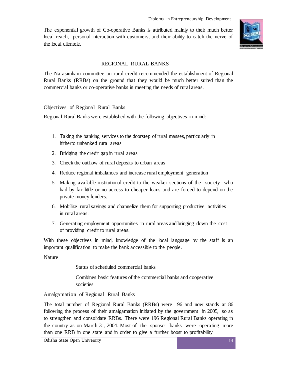The exponential growth of Co-operative Banks is attributed mainly to their much better local reach, personal interaction with customers, and their ability to catch the nerve of the local clientele.



# REGIONAL RURAL BANKS

The Narasimham committee on rural credit recommended the establishment of Regional Rural Banks (RRBs) on the ground that they would be much better suited than the commercial banks or co-operative banks in meeting the needs of rural areas.

# Objectives of Regional Rural Banks

Regional Rural Banks were established with the following objectives in mind:

- 1. Taking the banking services to the doorstep of rural masses, particularly in hitherto unbanked rural areas
- 2. Bridging the credit gap in rural areas
- 3. Check the outflow of rural deposits to urban areas
- 4. Reduce regional imbalances and increase rural employment generation
- 5. Making available institutional credit to the weaker sections of the society who had by far little or no access to cheaper loans and are forced to depend on the private money lenders.
- 6. Mobilize rural savings and channelize them for supporting productive activities in rural areas.
- 7. Generating employment opportunities in rural areas and bringing down the cost of providing credit to rural areas.

With these objectives in mind, knowledge of the local language by the staff is an important qualification to make the bank accessible to the people.

Nature

- $\mathbb{L}$ Status of scheduled commercial banks
- $\mathbb{R}^n$ Combines basic features of the commercial banks and cooperative societies

# Amalgamation of Regional Rural Banks

The total number of Regional Rural Banks (RRBs) were 196 and now stands at 86 following the process of their amalgamation initiated by the government in 2005, so as to strengthen and consolidate RRBs. There were 196 Regional Rural Banks operating in the country as on March 31, 2004. Most of the sponsor banks were operating more than one RRB in one state and in order to give a further boost to profitability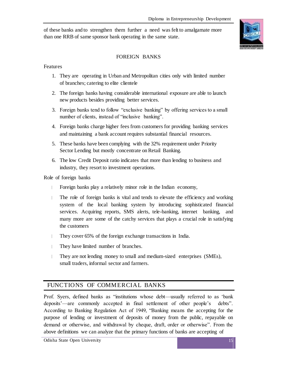of these banks and to strengthen them further a need was felt to amalgamate more than one RRB of same sponsor bank operating in the same state.



# FOREIGN BANKS

Features

- 1. They are operating in Urban and Metropolitan cities only with limited number of branches; catering to elite clientele
- 2. The foreign banks having considerable international exposure are able to launch new products besides providing better services.
- 3. Foreign banks tend to follow "exclusive banking" by offering services to a small number of clients, instead of "inclusive banking".
- 4. Foreign banks charge higher fees from customers for providing banking services and maintaining a bank account requires substantial financial resources.
- 5. These banks have been complying with the 32% requirement under Priority Sector Lending but mostly concentrate on Retail Banking.
- 6. The low Credit Deposit ratio indicates that more than lending to business and industry, they resort to investment operations.

Role of foreign banks

- $\mathbb{L}$ Foreign banks play a relatively minor role in the Indian economy,
- The role of foreign banks is vital and tends to elevate the efficiency and working system of the local banking system by introducing sophisticated financial services. Acquiring reports, SMS alerts, tele-banking, internet banking, and many more are some of the catchy services that plays a crucial role in satisfying the customers
- They cover 65% of the foreign exchange transactions in India.
- They have limited number of branches.  $\mathbb{L}$
- $\mathbb{L}$ They are not lending money to small and medium-sized enterprises (SMEs), small traders, informal sector and farmers.

# FUNCTIONS OF COMMERCIAL BANKS

Prof. Syers, defined banks as "institutions whose debt—usually referred to as 'bank deposits'—are commonly accepted in final settlement of other people's debts". According to Banking Regulation Act of 1949, "Banking means the accepting for the purpose of lending or investment of deposits of money from the public, repayable on demand or otherwise, and withdrawal by cheque, draft, order or otherwise". From the above definitions we can analyze that the primary functions of banks are accepting of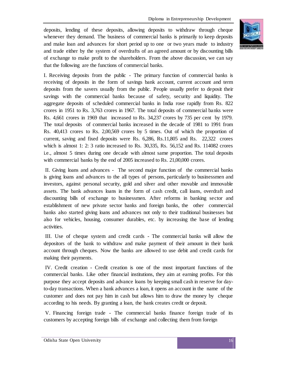deposits, lending of these deposits, allowing deposits to withdraw through cheque whenever they demand. The business of commercial banks is primarily to keep deposits and make loan and advances for short period up to one or two years made to industry and trade either by the system of overdrafts of an agreed amount or by discounting bills of exchange to make profit to the shareholders. From the above discussion, we can say that the following are the functions of commercial banks.



I. Receiving deposits from the public - The primary function of commercial banks is receiving of deposits in the form of savings bank account, current account and term deposits from the savers usually from the public. People usually prefer to deposit their savings with the commercial banks because of safety, security and liquidity. The aggregate deposits of scheduled commercial banks in India rose rapidly from Rs. 822 crores in 1951 to Rs. 3,763 crores in 1967. The total deposits of commercial banks were Rs. 4,661 crores in 1969 that increased to Rs. 34,237 crores by 735 per cent by 1979. The total deposits of commercial banks increased in the decade of 1981 to 1991 from Rs. 40,413 crores to Rs. 2,00,569 crores by 5 times. Out of which the proportion of current, saving and fixed deposits were Rs. 6,286, Rs.11,805 and Rs. 22,322 crores which is almost 1: 2: 3 ratio increased to Rs. 30,335, Rs. 56,152 and Rs. 114082 crores i.e., almost 5 times during one decade with almost same proportion. The total deposits with commercial banks by the end of 2005 increased to Rs. 21,00,000 crores.

II. Giving loans and advances - The second major function of the commercial banks is giving loans and advances to the all types of persons, particularly to businessmen and investors, against personal security, gold and silver and other movable and immovable assets. The bank advances loans in the form of cash credit, call loans, overdraft and discounting bills of exchange to businessmen. After reforms in banking sector and establishment of new private sector banks and foreign banks, the other commercial banks also started giving loans and advances not only to their traditional businesses but also for vehicles, housing, consumer durables, etc. by increasing the base of lending activities.

III. Use of cheque system and credit cards - The commercial banks will allow the depositors of the bank to withdraw and make payment of their amount in their bank account through cheques. Now the banks are allowed to use debit and credit cards for making their payments.

IV. Credit creation - Credit creation is one of the most important functions of the commercial banks. Like other financial institutions, they aim at earning profits. For this purpose they accept deposits and advance loans by keeping small cash in reserve for dayto-day transactions. When a bank advances a loan, it opens an account in the name of the customer and does not pay him in cash but allows him to draw the money by cheque according to his needs. By granting a loan, the bank creates credit or deposit.

V. Financing foreign trade - The commercial banks finance foreign trade of its customers by accepting foreign bills of exchange and collecting them from foreign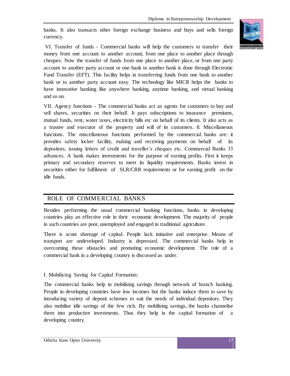banks. It also transacts other foreign exchange business and buys and sells foreign currency.



VI. Transfer of funds - Commercial banks will help the customers to transfer their money from one account to another account, from one place to another place through cheques. Now the transfer of funds from one place to another place, or from one party account to another party account or one bank to another bank is done through Electronic Fund Transfer (EFT). This facility helps in transferring funds from one bank to another bank or to another party account easy. The technology like MICR helps the banks to have innovative banking like anywhere banking, anytime banking, and virtual banking and so on.

VII. Agency functions - The commercial banks act as agents for customers to buy and sell shares, securities on their behalf. It pays subscriptions to insurance premiums, mutual funds, rent, water taxes, electricity bills etc on behalf of its clients. It also acts as a trustee and executor of the property and will of its customers. 8. Miscellaneous functions. The miscellaneous functions performed by the commercial banks are: it provides safety locker facility, making and receiving payments on behalf of depositors, issuing letters of credit and traveller's cheques etc. Commercial Banks 33 advances. A bank makes investments for the purpose of earning profits. First it keeps primary and secondary reserves to meet its liquidity requirements. Banks invest in securities either for fulfilment of SLR/CRR requirements or for earning profit on the idle funds.

# ROLE OF COMMERCIAL BANKS

Besides performing the usual commercial banking functions, banks in developing countries play an effective role in their economic development. The majority of people in such countries are poor, unemployed and engaged in traditional agriculture.

There is acute shortage of capital. People lack initiative and enterprise. Means of transport are undeveloped. Industry is depressed. The commercial banks help in overcoming these obstacles and promoting economic development. The role of a commercial bank in a developing country is discussed as under.

# I. Mobilising Saving for Capital Formation:

The commercial banks help in mobilising savings through network of branch banking. People in developing countries have low incomes but the banks induce them to save by introducing variety of deposit schemes to suit the needs of individual depositors. They also mobilise idle savings of the few rich. By mobilising savings, the banks channelise them into productive investments. Thus they help in the capital formation of developing country.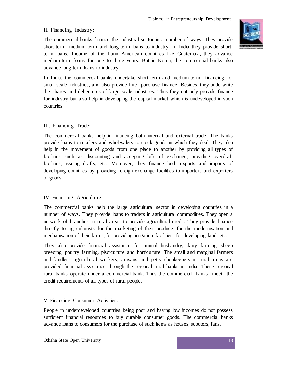# II. Financing Industry:

The commercial banks finance the industrial sector in a number of ways. They provide short-term, medium-term and long-term loans to industry. In India they provide shortterm loans. Income of the Latin American countries like Guatemala, they advance medium-term loans for one to three years. But in Korea, the commercial banks also advance long-term loans to industry.

In India, the commercial banks undertake short-term and medium-term financing of small scale industries, and also provide hire- purchase finance. Besides, they underwrite the shares and debentures of large scale industries. Thus they not only provide finance for industry but also help in developing the capital market which is undeveloped in such countries.

# III. Financing Trade:

The commercial banks help in financing both internal and external trade. The banks provide loans to retailers and wholesalers to stock goods in which they deal. They also help in the movement of goods from one place to another by providing all types of facilities such as discounting and accepting bills of exchange, providing overdraft facilities, issuing drafts, etc. Moreover, they finance both exports and imports of developing countries by providing foreign exchange facilities to importers and exporters of goods.

# IV. Financing Agriculture:

The commercial banks help the large agricultural sector in developing countries in a number of ways. They provide loans to traders in agricultural commodities. They open a network of branches in rural areas to provide agricultural credit. They provide finance directly to agriculturists for the marketing of their produce, for the modernisation and mechanisation of their farms, for providing irrigation facilities, for developing land, etc.

They also provide financial assistance for animal husbandry, dairy farming, sheep breeding, poultry farming, pisciculture and horticulture. The small and marginal farmers and landless agricultural workers, artisans and petty shopkeepers in rural areas are provided financial assistance through the regional rural banks in India. These regional rural banks operate under a commercial bank. Thus the commercial banks meet the credit requirements of all types of rural people.

# V. Financing Consumer Activities:

People in underdeveloped countries being poor and having low incomes do not possess sufficient financial resources to buy durable consumer goods. The commercial banks advance loans to consumers for the purchase of such items as houses, scooters, fans,

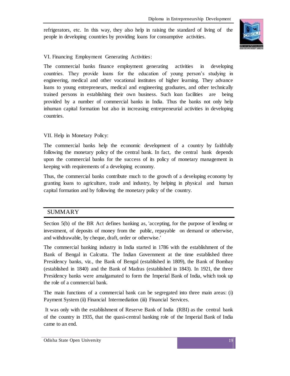refrigerators, etc. In this way, they also help in raising the standard of living of the people in developing countries by providing loans for consumptive activities.



# VI. Financing Employment Generating Activities:

The commercial banks finance employment generating activities in developing countries. They provide loans for the education of young person's studying in engineering, medical and other vocational institutes of higher learning. They advance loans to young entrepreneurs, medical and engineering graduates, and other technically trained persons in establishing their own business. Such loan facilities are being provided by a number of commercial banks in India. Thus the banks not only help inhuman capital formation but also in increasing entrepreneurial activities in developing countries.

# VII. Help in Monetary Policy:

The commercial banks help the economic development of a country by faithfully following the monetary policy of the central bank. In fact, the central bank depends upon the commercial banks for the success of its policy of monetary management in keeping with requirements of a developing economy.

Thus, the commercial banks contribute much to the growth of a developing economy by granting loans to agriculture, trade and industry, by helping in physical and human capital formation and by following the monetary policy of the country.

# SUMMARY

Section 5(b) of the BR Act defines banking as, 'accepting, for the purpose of lending or investment, of deposits of money from the public, repayable on demand or otherwise, and withdrawable, by cheque, draft, order or otherwise.'

The commercial banking industry in India started in 1786 with the establishment of the Bank of Bengal in Calcutta. The Indian Government at the time established three Presidency banks, viz., the Bank of Bengal (established in 1809), the Bank of Bombay (established in 1840) and the Bank of Madras (established in 1843). In 1921, the three Presidency banks were amalgamated to form the Imperial Bank of India, which took up the role of a commercial bank.

The main functions of a commercial bank can be segregated into three main areas: (i) Payment System (ii) Financial Intermediation (iii) Financial Services.

It was only with the establishment of Reserve Bank of India (RBI) as the central bank of the country in 1935, that the quasi-central banking role of the Imperial Bank of India came to an end.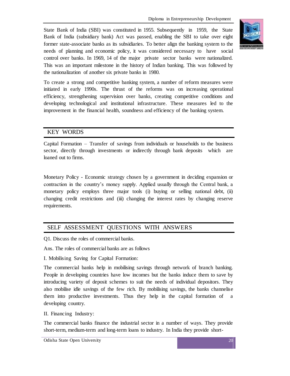State Bank of India (SBI) was constituted in 1955. Subsequently in 1959, the State Bank of India (subsidiary bank) Act was passed, enabling the SBI to take over eight former state-associate banks as its subsidiaries. To better align the banking system to the needs of planning and economic policy, it was considered necessary to have social control over banks. In 1969, 14 of the major private sector banks were nationalized. This was an important milestone in the history of Indian banking. This was followed by the nationalization of another six private banks in 1980.



To create a strong and competitive banking system, a number of reform measures were initiated in early 1990s. The thrust of the reforms was on increasing operational efficiency, strengthening supervision over banks, creating competitive conditions and developing technological and institutional infrastructure. These measures led to the improvement in the financial health, soundness and efficiency of the banking system.

# KEY WORDS

Capital Formation – Transfer of savings from individuals or households to the business sector, directly through investments or indirectly through bank deposits which are loaned out to firms.

Monetary Policy - Economic strategy chosen by a government in deciding expansion or contraction in the country's money supply. Applied usually through the Central bank, a monetary policy employs three major tools (i) buying or selling national debt, (ii) changing credit restrictions and (iii) changing the interest rates by changing reserve requirements.

# SELF ASSESSMENT QUESTIONS WITH ANSWERS

Q1. Discuss the roles of commercial banks.

Ans. The roles of commercial banks are as follows

I. Mobilising Saving for Capital Formation:

The commercial banks help in mobilising savings through network of branch banking. People in developing countries have low incomes but the banks induce them to save by introducing variety of deposit schemes to suit the needs of individual depositors. They also mobilise idle savings of the few rich. By mobilising savings, the banks channelise them into productive investments. Thus they help in the capital formation of a developing country.

II. Financing Industry:

The commercial banks finance the industrial sector in a number of ways. They provide short-term, medium-term and long-term loans to industry. In India they provide short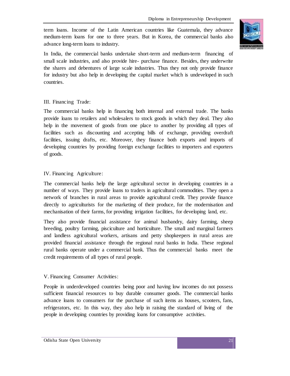term loans. Income of the Latin American countries like Guatemala, they advance medium-term loans for one to three years. But in Korea, the commercial banks also advance long-term loans to industry.



In India, the commercial banks undertake short-term and medium-term financing of small scale industries, and also provide hire- purchase finance. Besides, they underwrite the shares and debentures of large scale industries. Thus they not only provide finance for industry but also help in developing the capital market which is undeveloped in such countries.

## III. Financing Trade:

The commercial banks help in financing both internal and external trade. The banks provide loans to retailers and wholesalers to stock goods in which they deal. They also help in the movement of goods from one place to another by providing all types of facilities such as discounting and accepting bills of exchange, providing overdraft facilities, issuing drafts, etc. Moreover, they finance both exports and imports of developing countries by providing foreign exchange facilities to importers and exporters of goods.

## IV. Financing Agriculture:

The commercial banks help the large agricultural sector in developing countries in a number of ways. They provide loans to traders in agricultural commodities. They open a network of branches in rural areas to provide agricultural credit. They provide finance directly to agriculturists for the marketing of their produce, for the modernisation and mechanisation of their farms, for providing irrigation facilities, for developing land, etc.

They also provide financial assistance for animal husbandry, dairy farming, sheep breeding, poultry farming, pisciculture and horticulture. The small and marginal farmers and landless agricultural workers, artisans and petty shopkeepers in rural areas are provided financial assistance through the regional rural banks in India. These regional rural banks operate under a commercial bank. Thus the commercial banks meet the credit requirements of all types of rural people.

# V. Financing Consumer Activities:

People in underdeveloped countries being poor and having low incomes do not possess sufficient financial resources to buy durable consumer goods. The commercial banks advance loans to consumers for the purchase of such items as houses, scooters, fans, refrigerators, etc. In this way, they also help in raising the standard of living of the people in developing countries by providing loans for consumptive activities.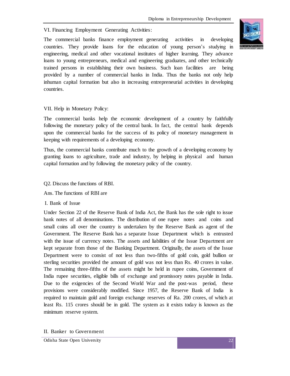VI. Financing Employment Generating Activities:

The commercial banks finance employment generating activities in developing countries. They provide loans for the education of young person's studying in engineering, medical and other vocational institutes of higher learning. They advance loans to young entrepreneurs, medical and engineering graduates, and other technically trained persons in establishing their own business. Such loan facilities are being provided by a number of commercial banks in India. Thus the banks not only help inhuman capital formation but also in increasing entrepreneurial activities in developing countries.

# VII. Help in Monetary Policy:

The commercial banks help the economic development of a country by faithfully following the monetary policy of the central bank. In fact, the central bank depends upon the commercial banks for the success of its policy of monetary management in keeping with requirements of a developing economy.

Thus, the commercial banks contribute much to the growth of a developing economy by granting loans to agriculture, trade and industry, by helping in physical and human capital formation and by following the monetary policy of the country.

#### Q2. Discuss the functions of RBI.

Ans. The functions of RBI are

#### I. Bank of Issue

Under Section 22 of the Reserve Bank of India Act, the Bank has the sole right to issue bank notes of all denominations. The distribution of one rupee notes and coins and small coins all over the country is undertaken by the Reserve Bank as agent of the Government. The Reserve Bank has a separate Issue Department which is entrusted with the issue of currency notes. The assets and liabilities of the Issue Department are kept separate from those of the Banking Department. Originally, the assets of the Issue Department were to consist of not less than two-fifths of gold coin, gold bullion or sterling securities provided the amount of gold was not less than Rs. 40 crores in value. The remaining three-fifths of the assets might be held in rupee coins, Government of India rupee securities, eligible bills of exchange and promissory notes payable in India. Due to the exigencies of the Second World War and the post-was period, these provisions were considerably modified. Since 1957, the Reserve Bank of India is required to maintain gold and foreign exchange reserves of Ra. 200 crores, of which at least Rs. 115 crores should be in gold. The system as it exists today is known as the minimum reserve system.

II. Banker to Government

Odisha State Open University 22

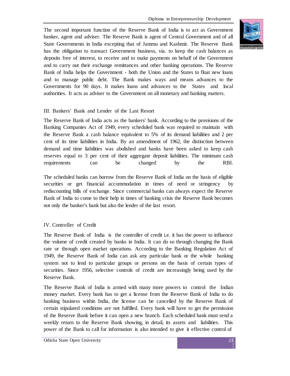The second important function of the Reserve Bank of India is to act as Government banker, agent and adviser. The Reserve Bank is agent of Central Government and of all State Governments in India excepting that of Jammu and Kashmir. The Reserve Bank has the obligation to transact Government business, via. to keep the cash balances as deposits free of interest, to receive and to make payments on behalf of the Government and to carry out their exchange remittances and other banking operations. The Reserve Bank of India helps the Government - both the Union and the States to float new loans and to manage public debt. The Bank makes ways and means advances to the Governments for 90 days. It makes loans and advances to the States and local authorities. It acts as adviser to the Government on all monetary and banking matters.

#### III. Bankers' Bank and Lender of the Last Resort

The Reserve Bank of India acts as the bankers' bank. According to the provisions of the Banking Companies Act of 1949, every scheduled bank was required to maintain with the Reserve Bank a cash balance equivalent to 5% of its demand liabilities and 2 per cent of its time liabilities in India. By an amendment of 1962, the distinction between demand and time liabilities was abolished and banks have been asked to keep cash reserves equal to 3 per cent of their aggregate deposit liabilities. The minimum cash requirements can be changed by the RBI.

The scheduled banks can borrow from the Reserve Bank of India on the basis of eligible securities or get financial accommodation in times of need or stringency by rediscounting bills of exchange. Since commercial banks can always expect the Reserve Bank of India to come to their help in times of banking crisis the Reserve Bank becomes not only the banker's bank but also the lender of the last resort.

## IV. Controller of Credit

The Reserve Bank of India is the controller of credit i.e. it has the power to influence the volume of credit created by banks in India. It can do so through changing the Bank rate or through open market operations. According to the Banking Regulation Act of 1949, the Reserve Bank of India can ask any particular bank or the whole banking system not to lend to particular groups or persons on the basis of certain types of securities. Since 1956, selective controls of credit are increasingly being used by the Reserve Bank.

The Reserve Bank of India is armed with many more powers to control the Indian money market. Every bank has to get a license from the Reserve Bank of India to do banking business within India, the license can be cancelled by the Reserve Bank of certain stipulated conditions are not fulfilled. Every bank will have to get the permission of the Reserve Bank before it can open a new branch. Each scheduled bank must send a weekly return to the Reserve Bank showing, in detail, its assets and liabilities. This power of the Bank to call for information is also intended to give it effective control of

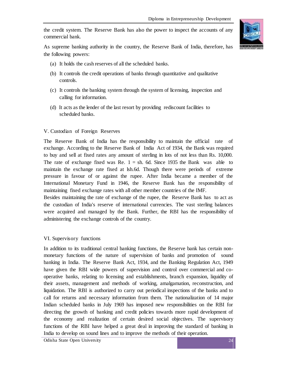the credit system. The Reserve Bank has also the power to inspect the accounts of any commercial bank.



As supreme banking authority in the country, the Reserve Bank of India, therefore, has the following powers:

- (a) It holds the cash reserves of all the scheduled banks.
- (b) It controls the credit operations of banks through quantitative and qualitative controls.
- (c) It controls the banking system through the system of licensing, inspection and calling for information.
- (d) It acts as the lender of the last resort by providing rediscount facilities to scheduled banks.

## V. Custodian of Foreign Reserves

The Reserve Bank of India has the responsibility to maintain the official rate of exchange. According to the Reserve Bank of India Act of 1934, the Bank was required to buy and sell at fixed rates any amount of sterling in lots of not less than Rs. 10,000. The rate of exchange fixed was Re.  $1 = sh$ . 6d. Since 1935 the Bank was able to maintain the exchange rate fixed at lsh.6d. Though there were periods of extreme pressure in favour of or against the rupee. After India became a member of the International Monetary Fund in 1946, the Reserve Bank has the responsibility of maintaining fixed exchange rates with all other member countries of the IMF.

Besides maintaining the rate of exchange of the rupee, the Reserve Bank has to act as the custodian of India's reserve of international currencies. The vast sterling balances were acquired and managed by the Bank. Further, the RBI has the responsibility of administering the exchange controls of the country.

#### VI. Supervisory functions

In addition to its traditional central banking functions, the Reserve bank has certain nonmonetary functions of the nature of supervision of banks and promotion of sound banking in India. The Reserve Bank Act, 1934, and the Banking Regulation Act, 1949 have given the RBI wide powers of supervision and control over commercial and cooperative banks, relating to licensing and establishments, branch expansion, liquidity of their assets, management and methods of working, amalgamation, reconstruction, and liquidation. The RBI is authorized to carry out periodical inspections of the banks and to call for returns and necessary information from them. The nationalization of 14 major Indian scheduled banks in July 1969 has imposed new responsibilities on the RBI for directing the growth of banking and credit policies towards more rapid development of the economy and realization of certain desired social objectives. The supervisory functions of the RBI have helped a great deal in improving the standard of banking in India to develop on sound lines and to improve the methods of their operation.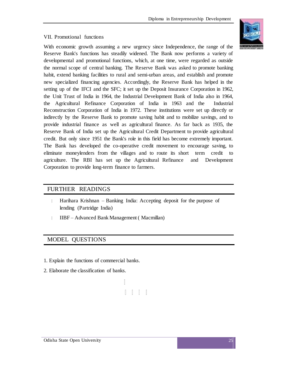## VII. Promotional functions

With economic growth assuming a new urgency since Independence, the range of the Reserve Bank's functions has steadily widened. The Bank now performs a variety of developmental and promotional functions, which, at one time, were regarded as outside the normal scope of central banking. The Reserve Bank was asked to promote banking habit, extend banking facilities to rural and semi-urban areas, and establish and promote new specialized financing agencies. Accordingly, the Reserve Bank has helped in the setting up of the IFCI and the SFC; it set up the Deposit Insurance Corporation in 1962, the Unit Trust of India in 1964, the Industrial Development Bank of India also in 1964, the Agricultural Refinance Corporation of India in 1963 and the Industrial Reconstruction Corporation of India in 1972. These institutions were set up directly or indirectly by the Reserve Bank to promote saving habit and to mobilize savings, and to provide industrial finance as well as agricultural finance. As far back as 1935, the Reserve Bank of India set up the Agricultural Credit Department to provide agricultural credit. But only since 1951 the Bank's role in this field has become extremely important. The Bank has developed the co-operative credit movement to encourage saving, to eliminate moneylenders from the villages and to route its short term credit to agriculture. The RBI has set up the Agricultural Refinance and Development Corporation to provide long-term finance to farmers.

# FURTHER READINGS

- Harihara Krishnan Banking India: Accepting deposit for the purpose of  $\mathbb{L}$ lending (Partridge India)
- IIBF Advanced Bank Management ( Macmillan)  $\mathbb{L}$

# MODEL QUESTIONS

- 1. Explain the functions of commercial banks.
- 2. Elaborate the classification of banks.



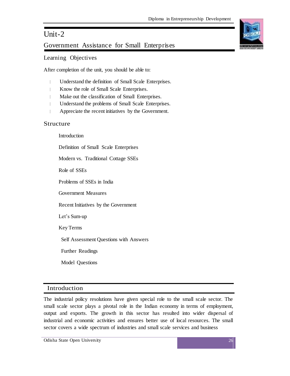# Unit-2

# Government Assistance for Small Enterprises

# Learning Objectives

After completion of the unit, you should be able to:

- Understand the definition of Small Scale Enterprises.
- Know the role of Small Scale Enterprises.  $\begin{array}{c} \hline \end{array}$
- Make out the classification of Small Enterprises.
- Understand the problems of Small Scale Enterprises.
- Appreciate the recent initiatives by the Government.

# Structure

Introduction Definition of Small Scale Enterprises Modern vs. Traditional Cottage SSEs Role of SSEs Problems of SSEs in India Government Measures Recent Initiatives by the Government Let's Sum-up Key Terms Self Assessment Questions with Answers Further Readings

Model Questions

# Introduction

The industrial policy resolutions have given special role to the small scale sector. The small scale sector plays a pivotal role in the Indian economy in terms of employment, output and exports. The growth in this sector has resulted into wider dispersal of industrial and economic activities and ensures better use of local resources. The small sector covers a wide spectrum of industries and small scale services and business

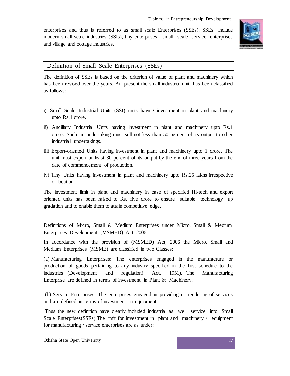enterprises and thus is referred to as small scale Enterprises (SSEs). SSEs include modern small scale industries (SSIs), tiny enterprises, small scale service enterprises and village and cottage industries.



# Definition of Small Scale Enterprises (SSEs)

The definition of SSEs is based on the criterion of value of plant and machinery which has been revised over the years. At present the small industrial unit has been classified as follows:

- i) Small Scale Industrial Units (SSI) units having investment in plant and machinery upto Rs.1 crore.
- ii) Ancillary Industrial Units having investment in plant and machinery upto Rs.1 crore. Such an undertaking must sell not less than 50 percent of its output to other industrial undertakings.
- iii) Export-oriented Units having investment in plant and machinery upto 1 crore. The unit must export at least 30 percent of its output by the end of three years from the date of commencement of production.
- iv) Tiny Units having investment in plant and machinery upto Rs.25 lakhs irrespective of location.

The investment limit in plant and machinery in case of specified Hi-tech and export oriented units has been raised to Rs. five crore to ensure suitable technology up gradation and to enable them to attain competitive edge.

Definitions of Micro, Small & Medium Enterprises under Micro, Small & Medium Enterprises Development (MSMED) Act, 2006

In accordance with the provision of (MSMED) Act, 2006 the Micro, Small and Medium Enterprises (MSME) are classified in two Classes:

(a) Manufacturing Enterprises: The enterprises engaged in the manufacture or production of goods pertaining to any industry specified in the first schedule to the industries (Development and regulation) Act, 1951). The Manufacturing Enterprise are defined in terms of investment in Plant & Machinery.

(b) Service Enterprises: The enterprises engaged in providing or rendering of services and are defined in terms of investment in equipment.

Thus the new definition have clearly included industrial as well service into Small Scale Enterprises(SSEs).The limit for investment in plant and machinery / equipment for manufacturing / service enterprises are as under: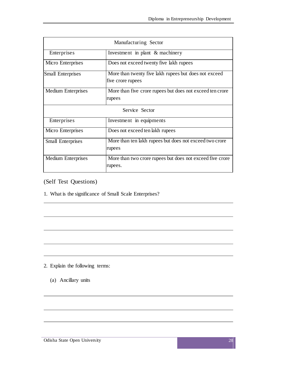| Manufacturing Sector      |                                                                            |
|---------------------------|----------------------------------------------------------------------------|
| <b>Enterprises</b>        | Investment in plant & machinery                                            |
| Micro Enterprises         | Does not exceed twenty five lakh rupees                                    |
| <b>Small Enterprises</b>  | More than twenty five lakh rupees but does not exceed<br>five crore rupees |
| <b>Medium Enterprises</b> | More than five crore rupees but does not exceed ten crore<br>rupees        |
| Service Sector            |                                                                            |
| <b>Enterprises</b>        | Investment in equipments                                                   |
| Micro Enterprises         | Does not exceed ten lakh rupees                                            |
| <b>Small Enterprises</b>  | More than ten lakh rupees but does not exceed two crore<br>rupees          |
| <b>Medium Enterprises</b> | More than two crore rupees but does not exceed five crore<br>rupees.       |

(Self Test Questions)

1. What is the significance of Small Scale Enterprises?

- 2. Explain the following terms:
	- (a) Ancillary units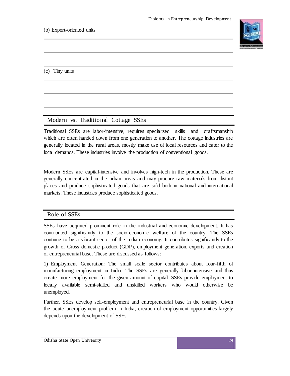# (b) Export-oriented units



(c) Tiny units

# Modern vs. Traditional Cottage SSEs

Traditional SSEs are labor-intensive, requires specialized skills and craftsmanship which are often handed down from one generation to another. The cottage industries are generally located in the rural areas, mostly make use of local resources and cater to the local demands. These industries involve the production of conventional goods.

Modern SSEs are capital-intensive and involves high-tech in the production. These are generally concentrated in the urban areas and may procure raw materials from distant places and produce sophisticated goods that are sold both in national and international markets. These industries produce sophisticated goods.

# Role of SSEs

SSEs have acquired prominent role in the industrial and economic development. It has contributed significantly to the socio-economic welfare of the country. The SSEs continue to be a vibrant sector of the Indian economy. It contributes significantly to the growth of Gross domestic product (GDP), employment generation, exports and creation of entrepreneurial base. These are discussed as follows:

1) Employment Generation: The small scale sector contributes about four-fifth of manufacturing employment in India. The SSEs are generally labor-intensive and thus create more employment for the given amount of capital. SSEs provide employment to locally available semi-skilled and unskilled workers who would otherwise be unemployed.

Further, SSEs develop self-employment and entrepreneurial base in the country. Given the acute unemployment problem in India, creation of employment opportunities largely depends upon the development of SSEs.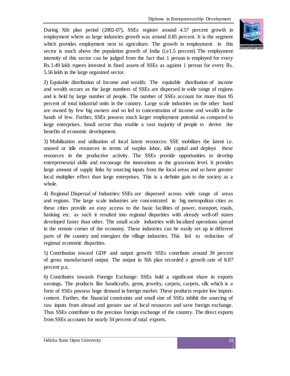During Xth plan period (2002-07), SSEs register around 4.57 percent growth in employment where as large industries growth was around 0.85 percent. It is the segment which provides employment next to agriculture. The growth in employment in this sector is much above the population growth of India (i.e1.5 percent) The employment intensity of this sector can be judged from the fact that 1 person is employed for every Rs.1.49 lakh rupees invested in fixed assets of SSEs as against 1 person for every Rs. 5.56 lakh in the large organized sector.



2) Equitable distribution of Income and wealth: The equitable distribution of income and wealth occurs as the large numbers of SSEs are dispersed in wide range of regions and is held by large number of people. The number of SSEs account for more than 95 percent of total industrial units in the country. Large scale industries on the other hand are owned by few big owners and so led to concentration of income and wealth in the hands of few. Further, SSEs possess much larger employment potential as compared to large enterprises. Small sector thus enable a vast majority of people to derive the benefits of economic development.

3) Mobilization and utilization of local latent resources: SSE mobilizes the latent i.e. unused or idle resources in terms of surplus labor, idle capital and deploys these resources in the productive activity. The SSEs provide opportunities to develop entrepreneurial skills and encourage the innovations at the grassroots level. It provides large amount of supply links by sourcing inputs from the local areas and so have greater local multiplier effect than large enterprises. This is a definite gain to the society as a whole.

4) Regional Dispersal of Industries: SSEs are dispersed across wide range of areas and regions. The large scale industries are concentrated in big metropolitan cities as these cities provide an easy access to the basic facilities of power, transport, roads, banking etc. as such it resulted into regional disparities with already well-off states developed faster than other. The small scale industries with localized operations spread in the remote corner of the economy. These industries can be easily set up in different parts of the country and energizes the village industries. This led to reduction of regional economic disparities.

5) Contribution toward GDP and output growth: SSEs contribute around 39 percent of gross manufactured output. The output in Xth plan recorded a growth rate of 8.87 percent p.a.

6) Contributes towards Foreign Exchange: SSEs hold a significant share in exports earnings. The products like handicrafts, gems, jewelry, carpets, carpets, silk which is a forte of SSEs possess huge demand in foreign market. These products require low importcontent. Further, the financial constraints and small size of SSEs inhibit the sourcing of raw inputs from abroad and greater use of local resources and save foreign exchange. Thus SSEs contribute to the precious foreign exchange of the country. The direct exports from SSEs accounts for nearly 34 percent of total exports.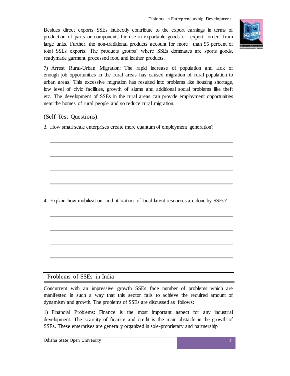Besides direct exports SSEs indirectly contribute to the export earnings in terms of production of parts or components for use in exportable goods or export order from large units. Further, the non-traditional products account for more than 95 percent of total SSEs exports. The products groups' where SSEs dominates are sports goods, readymade garment, processed food and leather products.



7) Arrest Rural-Urban Migration: The rapid increase of population and lack of enough job opportunities in the rural areas has caused migration of rural population to urban areas. This excessive migration has resulted into problems like housing shortage, low level of civic facilities, growth of slums and additional social problems like theft etc. The development of SSEs in the rural areas can provide employment opportunities near the homes of rural people and so reduce rural migration.

# (Self Test Questions)

3. How small scale enterprises create more quantum of employment generation?

4. Explain how mobilization and utilization of local latent resources are done by SSEs?

# Problems of SSEs in India

Concurrent with an impressive growth SSEs face number of problems which are manifested in such a way that this sector fails to achieve the required amount of dynamism and growth. The problems of SSEs are discussed as follows:

1) Financial Problems: Finance is the most important aspect for any industrial development. The scarcity of finance and credit is the main obstacle in the growth of SSEs. These enterprises are generally organized in sole-proprietary and partnership

Odisha State Open University 31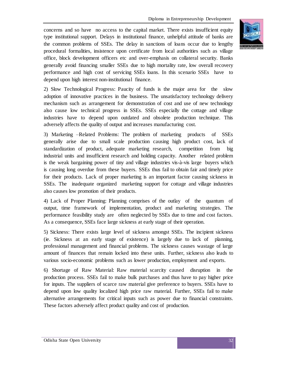concerns and so have no access to the capital market. There exists insufficient equity type institutional support. Delays in institutional finance, unhelpful attitude of banks are the common problems of SSEs. The delay in sanctions of loans occur due to lengthy procedural formalities, insistence upon certificate from local authorities such as village office, block development officers etc and over-emphasis on collateral security. Banks generally avoid financing smaller SSEs due to high mortality rate, low overall recovery performance and high cost of servicing SSEs loans. In this scenario SSEs have to depend upon high interest non-institutional finance.

2) Slow Technological Progress: Paucity of funds is the major area for the slow adoption of innovative practices in the business. The unsatisfactory technology delivery mechanism such as arrangement for demonstration of cost and use of new technology also cause low technical progress in SSEs. SSEs especially the cottage and village industries have to depend upon outdated and obsolete production technique. This adversely affects the quality of output and increases manufacturing cost.

3) Marketing –Related Problems: The problem of marketing products of SSEs generally arise due to small scale production causing high product cost, lack of standardization of product, adequate marketing research, competition from big industrial units and insufficient research and holding capacity. Another related problem is the weak bargaining power of tiny and village industries vis-à-vis large buyers which is causing long overdue from these buyers. SSEs thus fail to obtain fair and timely price for their products. Lack of proper marketing is an important factor causing sickness in SSEs. The inadequate organized marketing support for cottage and village industries also causes low promotion of their products.

4) Lack of Proper Planning: Planning comprises of the outlay of the quantum of output, time framework of implementation, product and marketing strategies. The performance feasibility study are often neglected by SSEs due to time and cost factors. As a consequence, SSEs face large sickness at early stage of their operation.

5) Sickness: There exists large level of sickness amongst SSEs. The incipient sickness (ie. Sickness at an early stage of existence) is largely due to lack of planning, professional management and financial problems. The sickness causes wastage of large amount of finances that remain locked into these units. Further, sickness also leads to various socio-economic problems such as lower production, employment and exports.

6) Shortage of Raw Material: Raw material scarcity caused disruption in the production process. SSEs fail to make bulk purchases and thus have to pay higher price for inputs. The suppliers of scarce raw material give preference to buyers. SSEs have to depend upon low quality localized high price raw material. Further, SSEs fail to make alternative arrangements for critical inputs such as power due to financial constraints. These factors adversely affect product quality and cost of production.

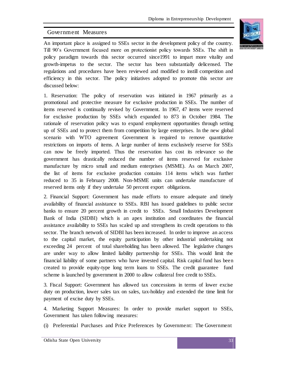# Government Measures

An important place is assigned to SSEs sector in the development policy of the country. Till 90's Government focused more on protectionist policy towards SSEs. The shift in policy paradigm towards this sector occurred since1991 to impart more vitality and growth-impetus to the sector. The sector has been substantially delicensed. The regulations and procedures have been reviewed and modified to instill competition and efficiency in this sector. The policy initiatives adopted to promote this sector are discussed below:

1. Reservation: The policy of reservation was initiated in 1967 primarily as a promotional and protective measure for exclusive production in SSEs. The number of items reserved is continually revised by Government. In 1967, 47 items were reserved for exclusive production by SSEs which expanded to 873 in October 1984. The rationale of reservation policy was to expand employment opportunities through setting up of SSEs and to protect them from competition by large enterprises. In the new global scenario with WTO agreement Government is required to remove quantitative restrictions on imports of items. A large number of items exclusively reserve for SSEs can now be freely imported. Thus the reservation has cost its relevance so the government has drastically reduced the number of items reserved for exclusive manufacture by micro small and medium enterprises (MSME). As on March 2007, the list of items for exclusive production contains 114 items which was further reduced to 35 in February 2008. Non-MSME units can undertake manufacture of reserved items only if they undertake 50 percent export obligations.

2. Financial Support: Government has made efforts to ensure adequate and timely availability of financial assistance to SSEs. RBI has issued guidelines to public sector banks to ensure 20 percent growth in credit to SSEs. Small Industries Development Bank of India (SIDBI) which is an apex institution and coordinates the financial assistance availability to SSEs has scaled up and strengthens its credit operations to this sector. The branch network of SIDBI has been increased. In order to improve an access to the capital market, the equity participation by other industrial undertaking not exceeding 24 percent of total shareholding has been allowed. The legislative changes are under way to allow limited liability partnership for SSEs. This would limit the financial liability of some partners who have invested capital. Risk capital fund has been created to provide equity-type long term loans to SSEs. The credit guarantee fund scheme is launched by government in 2000 to allow collateral free credit to SSEs.

3. Fiscal Support: Government has allowed tax concessions in terms of lower excise duty on production, lower sales tax on sales, tax-holiday and extended the time limit for payment of excise duty by SSEs.

4. Marketing Support Measures: In order to provide market support to SSEs, Government has taken following measures:

(i) Preferential Purchases and Price Preferences by Government: The Government

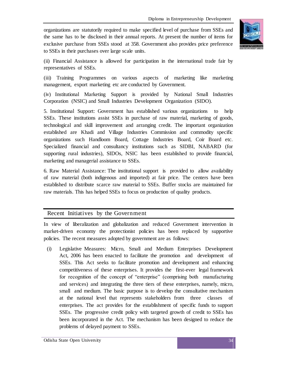organizations are statutorily required to make specified level of purchase from SSEs and the same has to be disclosed in their annual reports. At present the number of items for exclusive purchase from SSEs stood at 358. Government also provides price preference to SSEs in their purchases over large scale units.



(ii) Financial Assistance is allowed for participation in the international trade fair by representatives of SSEs.

(iii) Training Programmes on various aspects of marketing like marketing management, export marketing etc are conducted by Government.

(iv) Institutional Marketing Support is provided by National Small Industries Corporation (NSIC) and Small Industries Development Organization (SIDO).

5. Institutional Support: Government has established various organizations to help SSEs. These institutions assist SSEs in purchase of raw material, marketing of goods, technological and skill improvement and arranging credit. The important organization established are Khadi and Village Industries Commission and commodity specific organizations such Handloom Board, Cottage Industries Board, Coir Board etc. Specialized financial and consultancy institutions such as SIDBI, NABARD (for supporting rural industries), SIDOs, NSIC has been established to provide financial, marketing and managerial assistance to SSEs.

6. Raw Material Assistance: The institutional support is provided to allow availability of raw material (both indigenous and imported) at fair price. The centers have been established to distribute scarce raw material to SSEs. Buffer stocks are maintained for raw materials. This has helped SSEs to focus on production of quality products.

# Recent Initiatives by the Government

In view of liberalization and globalization and reduced Government intervention in market-driven economy the protectionist policies has been replaced by supportive policies. The recent measures adopted by government are as follows:

(i) Legislative Measures: Micro, Small and Medium Enterprises Development Act, 2006 has been enacted to facilitate the promotion and development of SSEs. This Act seeks to facilitate promotion and development and enhancing competitiveness of these enterprises. It provides the first-ever legal framework for recognition of the concept of "enterprise" (comprising both manufacturing and services) and integrating the three tiers of these enterprises, namely, micro, small and medium. The basic purpose is to develop the consultative mechanism at the national level that represents stakeholders from three classes of enterprises. The act provides for the establishment of specific funds to support SSEs. The progressive credit policy with targeted growth of credit to SSEs has been incorporated in the Act. The mechanism has been designed to reduce the problems of delayed payment to SSEs.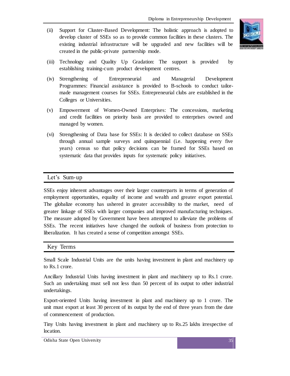(ii) Support for Cluster-Based Development: The holistic approach is adopted to develop cluster of SSEs so as to provide common facilities in these clusters. The existing industrial infrastructure will be upgraded and new facilities will be created in the public-private partnership mode.



- (iii) Technology and Quality Up Gradation: The support is provided by establishing training-cum product development centres.
- (iv) Strengthening of Entrepreneurial and Managerial Development Programmes: Financial assistance is provided to B-schools to conduct tailormade management courses for SSEs. Entrepreneurial clubs are established in the Colleges or Universities.
- (v) Empowerment of Women-Owned Enterprises: The concessions, marketing and credit facilities on priority basis are provided to enterprises owned and managed by women.
- (vi) Strengthening of Data base for SSEs: It is decided to collect database on SSEs through annual sample surveys and quinquennial (i.e. happening every five years) census so that policy decisions can be framed for SSEs based on systematic data that provides inputs for systematic policy initiatives.

# Let's Sum-up

SSEs enjoy inherent advantages over their larger counterparts in terms of generation of employment opportunities, equality of income and wealth and greater export potential. The globalize economy has ushered in greater accessibility to the market, need of greater linkage of SSEs with larger companies and improved manufacturing techniques. The measure adopted by Government have been attempted to alleviate the problems of SSEs. The recent initiatives have changed the outlook of business from protection to liberalization. It has created a sense of competition amongst SSEs.

#### Key Terms

Small Scale Industrial Units are the units having investment in plant and machinery up to Rs.1 crore.

Ancillary Industrial Units having investment in plant and machinery up to Rs.1 crore. Such an undertaking must sell not less than 50 percent of its output to other industrial undertakings.

Export-oriented Units having investment in plant and machinery up to 1 crore. The unit must export at least 30 percent of its output by the end of three years from the date of commencement of production.

Tiny Units having investment in plant and machinery up to Rs.25 lakhs irrespective of location.